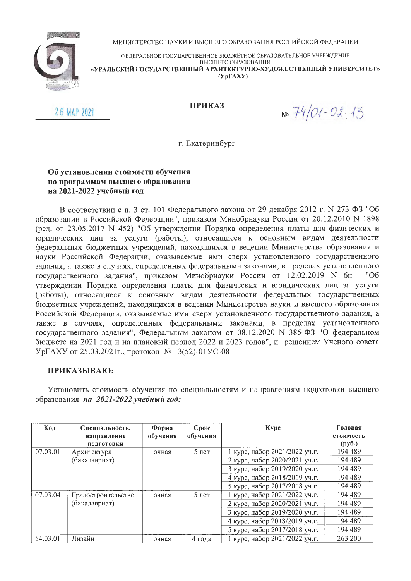

МИНИСТЕРСТВО НАУКИ И ВЫСШЕГО ОБРАЗОВАНИЯ РОССИЙСКОЙ ФЕДЕРАЦИИ

ФЕДЕРАЛЬНОЕ ГОСУДАРСТВЕННОЕ БЮДЖЕТНОЕ ОБРАЗОВАТЕЛЬНОЕ УЧРЕЖДЕНИЕ ВЫСШЕГО ОБРАЗОВАНИЯ «УРАЛЬСКИЙ ГОСУДАРСТВЕННЫЙ АРХИТЕКТУРНО-ХУДОЖЕСТВЕННЫЙ УНИВЕРСИТЕТ»  $(Yp\Gamma A X Y)$ 

26 MAP 2021

## **ПРИКАЗ**

No 74/01-02-13

г. Екатеринбург

## Об установлении стоимости обучения по программам высшего образования на 2021-2022 учебный год

В соответствии с п. 3 ст. 101 Федерального закона от 29 декабря 2012 г. N 273-ФЗ "Об образовании в Российской Федерации", приказом Минобрнауки России от 20.12.2010 N 1898 (ред. от 23.05.2017 N 452) "Об утверждении Порядка определения платы для физических и юридических лиц за услуги (работы), относящиеся к основным видам деятельности федеральных бюджетных учреждений, находящихся в ведении Министерства образования и науки Российской Федерации, оказываемые ими сверх установленного государственного задания, а также в случаях, определенных федеральными законами, в пределах установленного государственного задания", приказом Минобрнауки России от 12.02.2019 N 6н "Об утверждении Порядка определения платы для физических и юридических лиц за услуги (работы), относящиеся к основным видам деятельности федеральных государственных бюджетных учреждений, находящихся в ведении Министерства науки и высшего образования Российской Федерации, оказываемые ими сверх установленного государственного задания, а также в случаях, определенных федеральными законами, в пределах установленного государственного задания", Федеральным законом от 08.12.2020 N 385-ФЗ "О федеральном бюджете на 2021 год и на плановый период 2022 и 2023 годов", и решением Ученого совета УрГАХУ от 25.03.2021г., протокол № 3(52)-01УС-08

## ПРИКАЗЫВАЮ:

Установить стоимость обучения по специальностям и направлениям подготовки высшего образования на 2021-2022 учебный год:

| Код      | Специальность,<br>направление | $\Phi$ opma<br>обучения | Срок<br>обучения | Kypc                          | Годовая<br>стоимость             |
|----------|-------------------------------|-------------------------|------------------|-------------------------------|----------------------------------|
|          | ПОДГОТОВКИ                    |                         |                  |                               | $\left(\frac{\rho}{\rho}\right)$ |
| 07.03.01 | Архитектура                   | очная                   | $5$ лет          | 1 курс, набор 2021/2022 уч.г. | 194 489                          |
|          | (бакалавриат)                 |                         |                  | 2 курс, набор 2020/2021 уч.г. | 194 489                          |
|          |                               |                         |                  | 3 курс, набор 2019/2020 уч.г. | 194 489                          |
|          |                               |                         |                  | 4 курс, набор 2018/2019 уч.г. | 194 489                          |
|          |                               |                         |                  | 5 курс, набор 2017/2018 уч.г. | 194 489                          |
| 07.03.04 | Градостроительство            | очная                   | $5$ лет          | 1 курс, набор 2021/2022 уч.г. | 194 489                          |
|          | (бакалавриат)                 |                         |                  | 2 курс, набор 2020/2021 уч.г. | 194 489                          |
|          |                               |                         |                  | 3 курс, набор 2019/2020 уч.г. | 194 489                          |
|          |                               |                         |                  | 4 курс, набор 2018/2019 уч.г. | 194 489                          |
|          |                               |                         |                  | 5 курс, набор 2017/2018 уч.г. | 194 489                          |
| 54.03.01 | Лизайн                        | очная                   | 4 года           | курс, набор 2021/2022 уч.г.   | 263 200                          |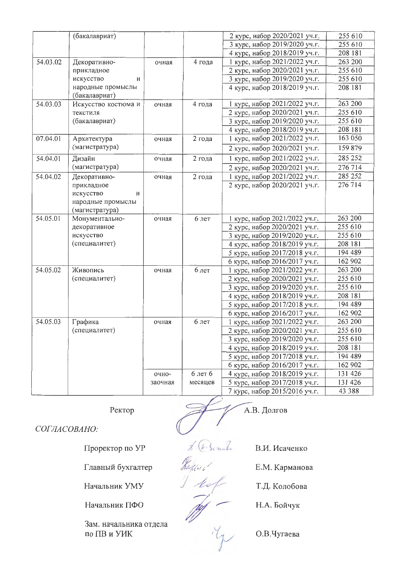|          | (бакалавриат)       |         |         | 2 курс, набор 2020/2021 уч.г. | 255 610           |
|----------|---------------------|---------|---------|-------------------------------|-------------------|
|          |                     |         |         | 3 курс, набор 2019/2020 уч.г. | 255 610           |
|          |                     |         |         | 4 курс, набор 2018/2019 уч.г. | 208 181           |
| 54.03.02 | Декоративно-        | очная   | 4 года  | 1 курс, набор 2021/2022 уч.г. | 263 200           |
|          | прикладное          |         |         | 2 курс, набор 2020/2021 уч.г. | 255 610           |
|          | искусство<br>И      |         |         | 3 курс, набор 2019/2020 уч.г. | 255 610           |
|          | народные промыслы   |         |         | 4 курс, набор 2018/2019 уч.г. | 208 181           |
|          | (бакалавриат)       |         |         |                               |                   |
| 54.03.03 | Искусство костюма и | очная   | 4 года  | 1 курс, набор 2021/2022 уч.г. | 263 200           |
|          | текстиля            |         |         | 2 курс, набор 2020/2021 уч.г. | 255 610           |
|          | (бакалавриат)       |         |         | 3 курс, набор 2019/2020 уч.г. | 255 610           |
|          |                     |         |         | 4 курс, набор 2018/2019 уч.г. | 208 181           |
| 07.04.01 | Архитектура         | очная   | 2 года  | 1 курс, набор 2021/2022 уч.г. | 163 050           |
|          | (магистратура)      |         |         | 2 курс, набор 2020/2021 уч.г. | 159 879           |
| 54.04.01 | Дизайн              | очная   | 2 года  | 1 курс, набор 2021/2022 уч.г. | 285 252           |
|          | (магистратура)      |         |         | 2 курс, набор 2020/2021 уч.г. | 276 714           |
| 54.04.02 | Декоративно-        | очная   | 2 года  | 1 курс, набор 2021/2022 уч.г. | 285 252           |
|          | прикладное          |         |         | 2 курс, набор 2020/2021 уч.г. | $\frac{276}{714}$ |
|          | искусство<br>И      |         |         |                               |                   |
|          | народные промыслы   |         |         |                               |                   |
|          | (магистратура)      |         |         |                               |                   |
| 54.05.01 | Монументально-      | очная   | 6 лет   | 1 курс, набор 2021/2022 уч.г. | 263 200           |
|          | декоративное        |         |         | 2 курс, набор 2020/2021 уч.г. | 255 610           |
|          | искусство           |         |         | 3 курс, набор 2019/2020 уч.г. | 255 610           |
|          | (специалитет)       |         |         | 4 курс, набор 2018/2019 уч.г. | 208 181           |
|          |                     |         |         | 5 курс, набор 2017/2018 уч.г. | 194 489           |
|          |                     |         |         | 6 курс, набор 2016/2017 уч.г. | 162 902           |
| 54.05.02 | Живопись            | очная   | 6 лет   | 1 курс, набор 2021/2022 уч.г. | 263 200           |
|          | (специалитет)       |         |         | 2 курс, набор 2020/2021 уч.г. | 255 610           |
|          |                     |         |         | 3 курс, набор 2019/2020 уч.г. | 255 610           |
|          |                     |         |         | 4 курс, набор 2018/2019 уч.г. | 208 181           |
|          |                     |         |         | 5 курс, набор 2017/2018 уч.г. | 194 489           |
|          |                     |         |         | 6 курс, набор 2016/2017 уч.г. | 162 902           |
| 54.05.03 | Графика             | очная   | 6 лет   | 1 курс, набор 2021/2022 уч.г. | 263 200           |
|          | (специалитет)       |         |         | 2 курс, набор 2020/2021 уч.г. | 255 610           |
|          |                     |         |         | 3 курс, набор 2019/2020 уч.г. | 255 610           |
|          |                     |         |         | 4 курс, набор 2018/2019 уч.г. | 208 181           |
|          |                     |         |         | 5 курс, набор 2017/2018 уч.г. | 194 489           |
|          |                     |         |         | 6 курс, набор 2016/2017 уч.г. | 162 902           |
|          |                     | очно-   | 6 лет 6 | 4 курс, набор 2018/2019 уч.г. | 131 426           |
|          |                     | заочная | месяцев | 5 курс, набор 2017/2018 уч.г. | 131 426           |
|          |                     |         |         | 7 курс, набор 2015/2016 уч.г. | 43 388            |

Ректор

А.В. Долгов

СОГЛАСОВАНО:

Проректор по УР

Главный бухгалтер

Начальник УМУ

Начальник ПФО

Зам. начальника отдела по ПВ и УИК

В.И. Исаченко

Е.М. Карманова

Т.Д. Колобова

My

S. Che. Everette

Radian!

 $10<sup>o</sup>$ 

Н.А. Бойчук

О.В.Чугаева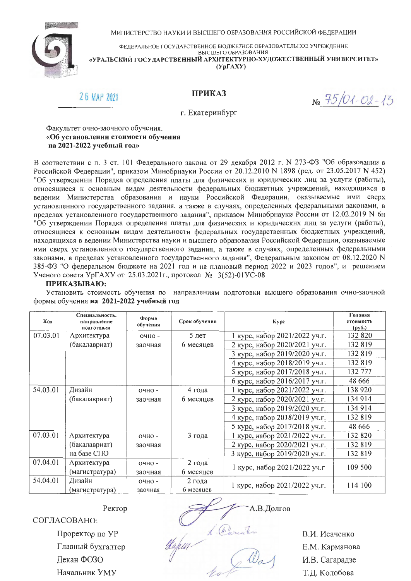

МИНИСТЕРСТВО НАУКИ И ВЫСШЕГО ОБРАЗОВАНИЯ РОССИЙСКОЙ ФЕДЕРАЦИИ

ФЕДЕРАЛЬНОЕ ГОСУДАРСТВЕННОЕ БЮДЖЕТНОЕ ОБРАЗОВАТЕЛЬНОЕ УЧРЕЖДЕНИЕ

ВЫСШЕГО ОБРАЗОВАНИЯ «УРАЛЬСКИЙ ГОСУДАРСТВЕННЫЙ АРХИТЕКТУРНО-ХУДОЖЕСТВЕННЫЙ УНИВЕРСИТЕТ»

 $(Yp\Gamma A XY)$ 

# 26 MAP 2021

**ПРИКАЗ** 

 $N_2$  75/01-02-13

г. Екатеринбург

Факультет очно-заочного обучения. «Об установлении стоимости обучения на 2021-2022 учебный год»

В соответствии с п. 3 ст. 101 Федерального закона от 29 декабря 2012 г. № 273-ФЗ "Об образовании в Российской Федерации", приказом Минобрнауки России от 20.12.2010 N 1898 (ред. от 23.05.2017 N 452) "Об утверждении Порядка определения платы для физических и юридических лиц за услуги (работы), относящиеся к основным видам деятельности федеральных бюджетных учреждений, находящихся в ведении Министерства образования и науки Российской Федерации, оказываемые ими сверх установленного государственного задания, а также в случаях, определенных федеральными законами, в пределах установленного государственного задания", приказом Минобрнауки России от 12.02.2019 N 6н "Об утверждении Порядка определения платы для физических и юридических лиц за услуги (работы), относящиеся к основным видам деятельности федеральных государственных бюджетных учреждений, находящихся в ведении Министерства науки и высшего образования Российской Федерации, оказываемые ими сверх установленного государственного задания, а также в случаях, определенных федеральными законами, в пределах установленного государственного задания", Федеральным законом от 08.12.2020 N 385-ФЗ "О федеральном бюджете на 2021 год и на плановый период 2022 и 2023 годов", и решением Ученого совета УрГАХУ от 25.03.2021г., протокол № 3(52)-01УС-08

#### ПРИКАЗЫВАЮ:

Установить стоимость обучения по направлениям подготовки высшего образования очно-заочной формы обучения на 2021-2022 учебный год

| Кол      | Специальность,<br>направленне<br>подготовки | Форма<br>обучения | Срок обучения | <b>Kypc</b>                   | Годовая<br>стоимость<br>$\left(\frac{\rho}{\rho}\right)$ |
|----------|---------------------------------------------|-------------------|---------------|-------------------------------|----------------------------------------------------------|
| 07.03.01 | Архитектура                                 | очно -            | $5$ лет       | 1 курс, набор 2021/2022 уч.г. | 132 820                                                  |
|          | (бакалавриат)                               | заочная           | 6 месяцев     | 2 курс, набор 2020/2021 уч.г. | 132819                                                   |
|          |                                             |                   |               | 3 курс, набор 2019/2020 уч.г. | 132819                                                   |
|          |                                             |                   |               | 4 курс, набор 2018/2019 уч.г. | 132819                                                   |
|          |                                             |                   |               | 5 курс, набор 2017/2018 уч.г. | 132 777                                                  |
|          |                                             |                   |               | 6 курс, набор 2016/2017 уч.г. | 48 6 6 6                                                 |
| 54.03.01 | Дизайн                                      | очно -            | 4 года        | 1 курс, набор 2021/2022 уч.г. | 138 920                                                  |
|          | (бакалавриат)                               | заочная           | 6 месяцев     | 2 курс, набор 2020/2021 уч.г. | 134914                                                   |
|          |                                             |                   |               | 3 курс, набор 2019/2020 уч.г. | 134 914                                                  |
|          |                                             |                   |               | 4 курс, набор 2018/2019 уч.г. | 132819                                                   |
|          |                                             |                   |               | 5 курс, набор 2017/2018 уч.г. | 48 666                                                   |
| 07.03.01 | Архитектура                                 | $O4HO$ -          | 3 года        | 1 курс, набор 2021/2022 уч.г. | 132 820                                                  |
|          | (бакалавриат)                               | заочная           |               | 2 курс, набор 2020/2021 уч.г. | 132819                                                   |
|          | на базе СПО                                 |                   |               | 3 курс, набор 2019/2020 уч.г. | 132 819                                                  |
| 07.04.01 | Архитектура                                 | очно -            | 2 года        |                               | 109 500                                                  |
|          | (магистратура)                              | заочная           | 6 месяцев     | 1 курс, набор 2021/2022 уч.г  |                                                          |
| 54.04.01 | Дизайн                                      | очно -            | 2 года        | 1 курс, набор 2021/2022 уч.г. | 114 100                                                  |
|          | (магистратура)                              | заочная           | 6 месяцев     |                               |                                                          |

Ректор

СОГЛАСОВАНО:

Проректор по УР Главный бухгалтер Декан ФОЗО Начальник УМУ

А.В.Долгов

Hapen L. Careada

В.И. Исаченко Е.М. Карманова И.В. Сагарадзе Т.Д. Колобова